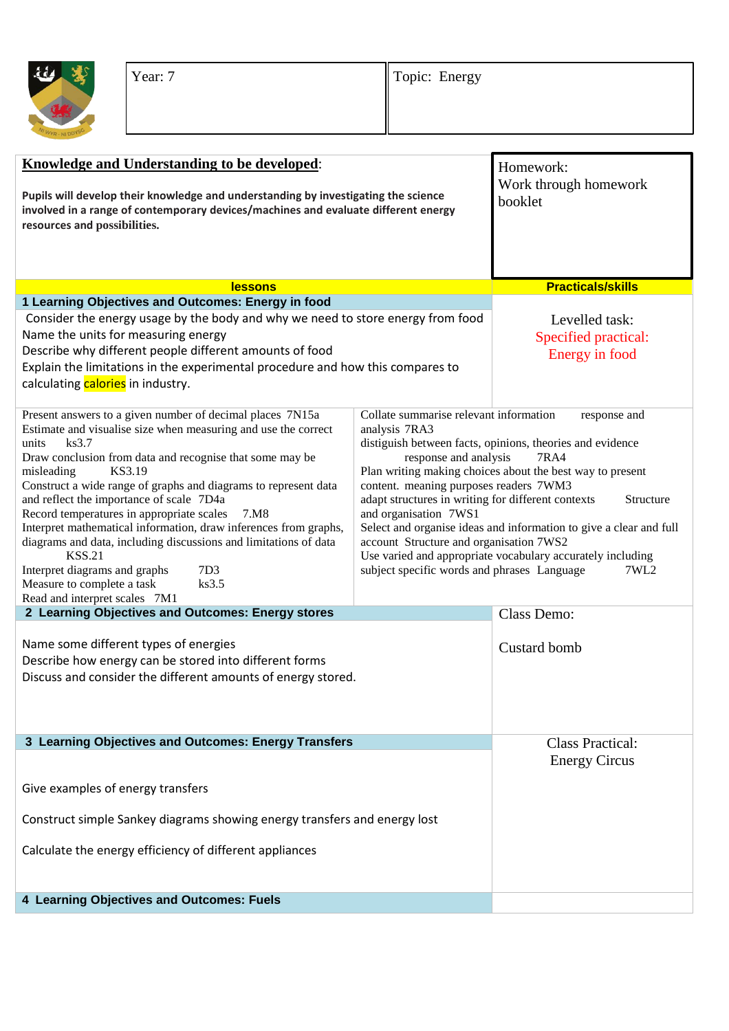

| <b>Knowledge and Understanding to be developed:</b>                                                                                                                                                                                                                                                                                                                                                                                                                                                                                                                                                                                                                                        |                                                                                                                                                                                                                                                                                                                                                                                                                                                                                                                                                                                                                                   | Homework:                                                |
|--------------------------------------------------------------------------------------------------------------------------------------------------------------------------------------------------------------------------------------------------------------------------------------------------------------------------------------------------------------------------------------------------------------------------------------------------------------------------------------------------------------------------------------------------------------------------------------------------------------------------------------------------------------------------------------------|-----------------------------------------------------------------------------------------------------------------------------------------------------------------------------------------------------------------------------------------------------------------------------------------------------------------------------------------------------------------------------------------------------------------------------------------------------------------------------------------------------------------------------------------------------------------------------------------------------------------------------------|----------------------------------------------------------|
| Pupils will develop their knowledge and understanding by investigating the science<br>involved in a range of contemporary devices/machines and evaluate different energy<br>resources and possibilities.                                                                                                                                                                                                                                                                                                                                                                                                                                                                                   |                                                                                                                                                                                                                                                                                                                                                                                                                                                                                                                                                                                                                                   | Work through homework<br>booklet                         |
| <b>lessons</b>                                                                                                                                                                                                                                                                                                                                                                                                                                                                                                                                                                                                                                                                             |                                                                                                                                                                                                                                                                                                                                                                                                                                                                                                                                                                                                                                   | <b>Practicals/skills</b>                                 |
| 1 Learning Objectives and Outcomes: Energy in food                                                                                                                                                                                                                                                                                                                                                                                                                                                                                                                                                                                                                                         |                                                                                                                                                                                                                                                                                                                                                                                                                                                                                                                                                                                                                                   |                                                          |
| Consider the energy usage by the body and why we need to store energy from food<br>Name the units for measuring energy<br>Describe why different people different amounts of food<br>Explain the limitations in the experimental procedure and how this compares to<br>calculating calories in industry.                                                                                                                                                                                                                                                                                                                                                                                   |                                                                                                                                                                                                                                                                                                                                                                                                                                                                                                                                                                                                                                   | Levelled task:<br>Specified practical:<br>Energy in food |
| Present answers to a given number of decimal places 7N15a<br>Estimate and visualise size when measuring and use the correct<br>ks3.7<br>units<br>Draw conclusion from data and recognise that some may be<br>KS3.19<br>misleading<br>Construct a wide range of graphs and diagrams to represent data<br>and reflect the importance of scale 7D4a<br>Record temperatures in appropriate scales<br>7.M8<br>Interpret mathematical information, draw inferences from graphs,<br>diagrams and data, including discussions and limitations of data<br><b>KSS.21</b><br>Interpret diagrams and graphs<br>7D <sub>3</sub><br>Measure to complete a task<br>ks3.5<br>Read and interpret scales 7M1 | Collate summarise relevant information<br>response and<br>analysis 7RA3<br>distiguish between facts, opinions, theories and evidence<br>response and analysis<br><b>7RA4</b><br>Plan writing making choices about the best way to present<br>content. meaning purposes readers 7WM3<br>adapt structures in writing for different contexts<br>Structure<br>and organisation 7WS1<br>Select and organise ideas and information to give a clear and full<br>account Structure and organisation 7WS2<br>Use varied and appropriate vocabulary accurately including<br>subject specific words and phrases Language<br>7WL <sub>2</sub> |                                                          |
| 2 Learning Objectives and Outcomes: Energy stores                                                                                                                                                                                                                                                                                                                                                                                                                                                                                                                                                                                                                                          |                                                                                                                                                                                                                                                                                                                                                                                                                                                                                                                                                                                                                                   | Class Demo:                                              |
| Name some different types of energies<br>Describe how energy can be stored into different forms<br>Discuss and consider the different amounts of energy stored.                                                                                                                                                                                                                                                                                                                                                                                                                                                                                                                            |                                                                                                                                                                                                                                                                                                                                                                                                                                                                                                                                                                                                                                   | Custard bomb                                             |
| 3 Learning Objectives and Outcomes: Energy Transfers                                                                                                                                                                                                                                                                                                                                                                                                                                                                                                                                                                                                                                       |                                                                                                                                                                                                                                                                                                                                                                                                                                                                                                                                                                                                                                   | <b>Class Practical:</b>                                  |
| Give examples of energy transfers<br>Construct simple Sankey diagrams showing energy transfers and energy lost                                                                                                                                                                                                                                                                                                                                                                                                                                                                                                                                                                             |                                                                                                                                                                                                                                                                                                                                                                                                                                                                                                                                                                                                                                   | <b>Energy Circus</b>                                     |
| Calculate the energy efficiency of different appliances                                                                                                                                                                                                                                                                                                                                                                                                                                                                                                                                                                                                                                    |                                                                                                                                                                                                                                                                                                                                                                                                                                                                                                                                                                                                                                   |                                                          |
| 4 Learning Objectives and Outcomes: Fuels                                                                                                                                                                                                                                                                                                                                                                                                                                                                                                                                                                                                                                                  |                                                                                                                                                                                                                                                                                                                                                                                                                                                                                                                                                                                                                                   |                                                          |